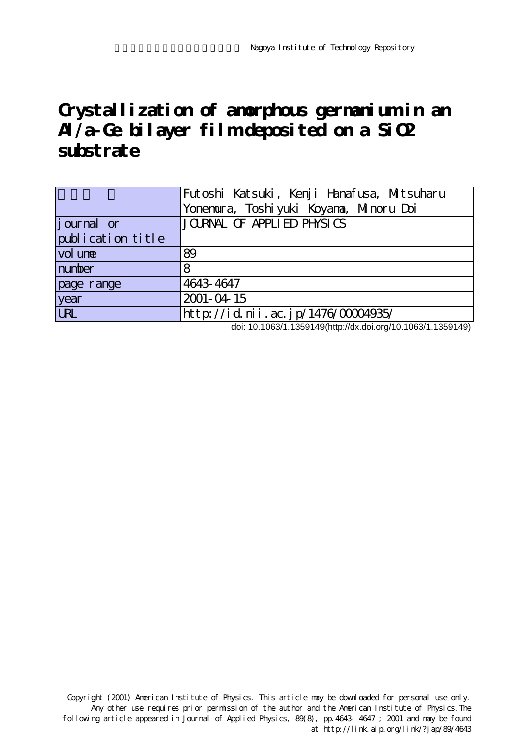# Grystallization of amorphous germanium in an **Al/a-Ge bilayer film deposited on a SiO2 substrate**

|                   | Futoshi Katsuki, Kenji Hanafusa, Mitsuharu<br>Yonemura, Toshi yuki Koyana, Minoru Doi |
|-------------------|---------------------------------------------------------------------------------------|
|                   |                                                                                       |
| journal or        | JOURNAL OF APPLIED PHYSICS                                                            |
| publication title |                                                                                       |
| vol une           | 89                                                                                    |
| number            | 8                                                                                     |
| page range        | 4643 4647                                                                             |
| year              | 2001-04-15                                                                            |
| <b>URL</b>        | http://id.nii.ac.jp/1476/00004935/                                                    |

doi: 10.1063/1.1359149(http://dx.doi.org/10.1063/1.1359149)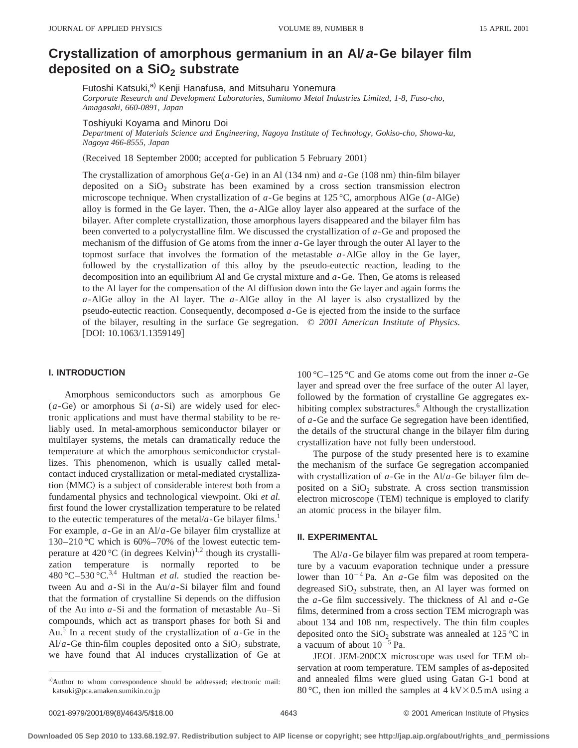# **Crystallization of amorphous germanium in an Al/a-Ge bilayer film** deposited on a SiO<sub>2</sub> substrate

Futoshi Katsuki,<sup>a)</sup> Kenji Hanafusa, and Mitsuharu Yonemura

*Corporate Research and Development Laboratories, Sumitomo Metal Industries Limited, 1-8, Fuso-cho, Amagasaki, 660-0891, Japan*

Toshiyuki Koyama and Minoru Doi

*Department of Materials Science and Engineering, Nagoya Institute of Technology, Gokiso-cho, Showa-ku, Nagoya 466-8555, Japan*

(Received 18 September 2000; accepted for publication 5 February 2001)

The crystallization of amorphous Ge( $a$ -Ge) in an Al (134 nm) and  $a$ -Ge (108 nm) thin-film bilayer deposited on a  $SiO<sub>2</sub>$  substrate has been examined by a cross section transmission electron microscope technique. When crystallization of *a*-Ge begins at 125 °C, amorphous AlGe (*a*-AlGe) alloy is formed in the Ge layer. Then, the *a*-AlGe alloy layer also appeared at the surface of the bilayer. After complete crystallization, those amorphous layers disappeared and the bilayer film has been converted to a polycrystalline film. We discussed the crystallization of *a*-Ge and proposed the mechanism of the diffusion of Ge atoms from the inner *a*-Ge layer through the outer Al layer to the topmost surface that involves the formation of the metastable *a*-AlGe alloy in the Ge layer, followed by the crystallization of this alloy by the pseudo-eutectic reaction, leading to the decomposition into an equilibrium Al and Ge crystal mixture and *a*-Ge. Then, Ge atoms is released to the Al layer for the compensation of the Al diffusion down into the Ge layer and again forms the *a*-AlGe alloy in the Al layer. The *a*-AlGe alloy in the Al layer is also crystallized by the pseudo-eutectic reaction. Consequently, decomposed *a*-Ge is ejected from the inside to the surface of the bilayer, resulting in the surface Ge segregation. © *2001 American Institute of Physics.* [DOI: 10.1063/1.1359149]

## **I. INTRODUCTION**

Amorphous semiconductors such as amorphous Ge (*a*-Ge) or amorphous Si (*a*-Si) are widely used for electronic applications and must have thermal stability to be reliably used. In metal-amorphous semiconductor bilayer or multilayer systems, the metals can dramatically reduce the temperature at which the amorphous semiconductor crystallizes. This phenomenon, which is usually called metalcontact induced crystallization or metal-mediated crystallization (MMC) is a subject of considerable interest both from a fundamental physics and technological viewpoint. Oki *et al.* first found the lower crystallization temperature to be related to the eutectic temperatures of the metal/ $a$ -Ge bilayer films.<sup>1</sup> For example, *a*-Ge in an Al/*a*-Ge bilayer film crystallize at 130–210 °C which is 60%–70% of the lowest eutectic temperature at  $420 \degree C$  (in degrees Kelvin)<sup>1,2</sup> though its crystallization temperature is normally reported to be  $480^{\circ}$ C $-530^{\circ}$ C $^{3,4}$  Hultman *et al.* studied the reaction between Au and *a*-Si in the Au/*a*-Si bilayer film and found that the formation of crystalline Si depends on the diffusion of the Au into *a*-Si and the formation of metastable Au–Si compounds, which act as transport phases for both Si and Au.5 In a recent study of the crystallization of *a*-Ge in the Al/ $a$ -Ge thin-film couples deposited onto a SiO<sub>2</sub> substrate, we have found that Al induces crystallization of Ge at

100 °C–125 °C and Ge atoms come out from the inner *a*-Ge layer and spread over the free surface of the outer Al layer, followed by the formation of crystalline Ge aggregates exhibiting complex substractures.<sup>6</sup> Although the crystallization of *a*-Ge and the surface Ge segregation have been identified, the details of the structural change in the bilayer film during crystallization have not fully been understood.

The purpose of the study presented here is to examine the mechanism of the surface Ge segregation accompanied with crystallization of *a*-Ge in the Al/*a*-Ge bilayer film deposited on a  $SiO<sub>2</sub>$  substrate. A cross section transmission electron microscope (TEM) technique is employed to clarify an atomic process in the bilayer film.

### **II. EXPERIMENTAL**

The Al/*a*-Ge bilayer film was prepared at room temperature by a vacuum evaporation technique under a pressure lower than  $10^{-4}$  Pa. An  $a$ -Ge film was deposited on the degreased  $SiO<sub>2</sub>$  substrate, then, an Al layer was formed on the *a*-Ge film successively. The thickness of Al and *a*-Ge films, determined from a cross section TEM micrograph was about 134 and 108 nm, respectively. The thin film couples deposited onto the  $SiO<sub>2</sub>$  substrate was annealed at 125 °C in a vacuum of about  $10^{-5}$  Pa.

JEOL JEM-200CX microscope was used for TEM observation at room temperature. TEM samples of as-deposited and annealed films were glued using Gatan G-1 bond at 80 °C, then ion milled the samples at  $4 \, \text{kV} \times 0.5 \, \text{mA}$  using a

a)Author to whom correspondence should be addressed; electronic mail: katsuki@pca.amaken.sumikin.co.jp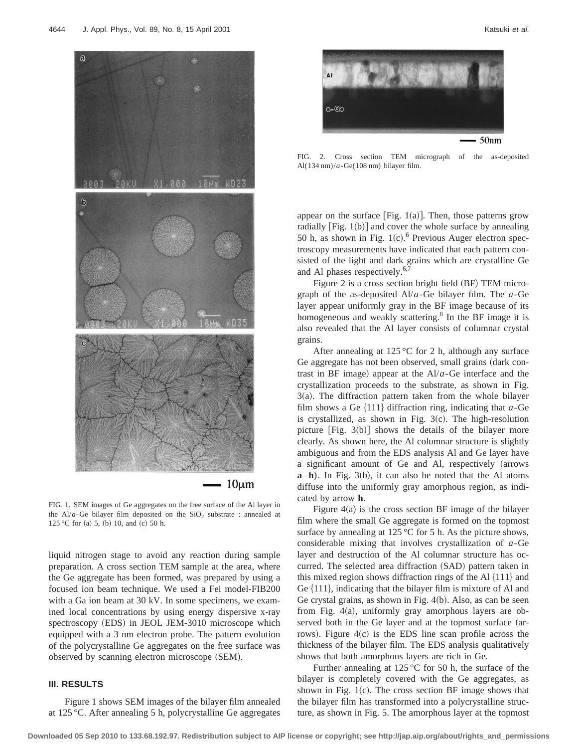

FIG. 1. SEM images of Ge aggregates on the free surface of the Al layer in the Al/ $a$ -Ge bilayer film deposited on the SiO<sub>2</sub> substrate : annealed at 125 °C for (a) 5, (b) 10, and (c) 50 h.

liquid nitrogen stage to avoid any reaction during sample preparation. A cross section TEM sample at the area, where the Ge aggregate has been formed, was prepared by using a focused ion beam technique. We used a Fei model-FIB200 with a Ga ion beam at 30 kV. In some specimens, we examined local concentrations by using energy dispersive x-ray spectroscopy (EDS) in JEOL JEM-3010 microscope which equipped with a 3 nm electron probe. The pattern evolution of the polycrystalline Ge aggregates on the free surface was observed by scanning electron microscope (SEM).

# **III. RESULTS**

Figure 1 shows SEM images of the bilayer film annealed at 125 °C. After annealing 5 h, polycrystalline Ge aggregates



FIG. 2. Cross section TEM micrograph of the as-deposited Al(134 nm)/*a*-Ge(108 nm) bilayer film.

appear on the surface [Fig. 1(a)]. Then, those patterns grow radially  $[Fig. 1(b)]$  and cover the whole surface by annealing 50 h, as shown in Fig.  $1(c)$ .<sup>6</sup> Previous Auger electron spectroscopy measurements have indicated that each pattern consisted of the light and dark grains which are crystalline Ge and Al phases respectively.<sup>6,7</sup>

Figure 2 is a cross section bright field  $(BF)$  TEM micrograph of the as-deposited Al/*a*-Ge bilayer film. The *a*-Ge layer appear uniformly gray in the BF image because of its homogeneous and weakly scattering.<sup>8</sup> In the BF image it is also revealed that the Al layer consists of columnar crystal grains.

After annealing at 125 °C for 2 h, although any surface Ge aggregate has not been observed, small grains (dark contrast in BF image) appear at the  $A1/a$ -Ge interface and the crystallization proceeds to the substrate, as shown in Fig.  $3(a)$ . The diffraction pattern taken from the whole bilayer film shows a Ge  $\{111\}$  diffraction ring, indicating that *a*-Ge is crystallized, as shown in Fig.  $3(c)$ . The high-resolution picture [Fig.  $3(b)$ ] shows the details of the bilayer more clearly. As shown here, the Al columnar structure is slightly ambiguous and from the EDS analysis Al and Ge layer have a significant amount of Ge and Al, respectively (arrows  $\mathbf{a}-\mathbf{h}$ ). In Fig. 3(b), it can also be noted that the Al atoms diffuse into the uniformly gray amorphous region, as indicated by arrow **h**.

Figure  $4(a)$  is the cross section BF image of the bilayer film where the small Ge aggregate is formed on the topmost surface by annealing at  $125^{\circ}$ C for 5 h. As the picture shows, considerable mixing that involves crystallization of *a*-Ge layer and destruction of the Al columnar structure has occurred. The selected area diffraction (SAD) pattern taken in this mixed region shows diffraction rings of the Al  $\{111\}$  and Ge  $\{111\}$ , indicating that the bilayer film is mixture of Al and Ge crystal grains, as shown in Fig.  $4(b)$ . Also, as can be seen from Fig.  $4(a)$ , uniformly gray amorphous layers are observed both in the Ge layer and at the topmost surface (arrows). Figure  $4(c)$  is the EDS line scan profile across the thickness of the bilayer film. The EDS analysis qualitatively shows that both amorphous layers are rich in Ge.

Further annealing at  $125^{\circ}$ C for 50 h, the surface of the bilayer is completely covered with the Ge aggregates, as shown in Fig.  $1(c)$ . The cross section BF image shows that the bilayer film has transformed into a polycrystalline structure, as shown in Fig. 5. The amorphous layer at the topmost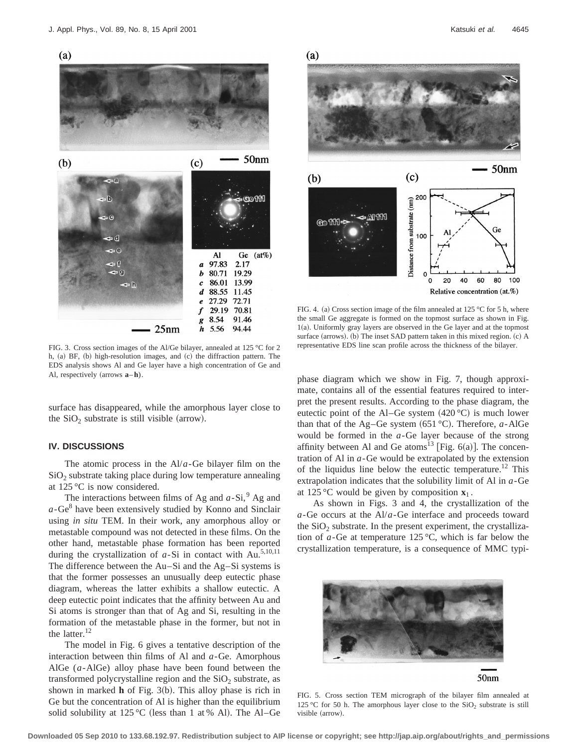

FIG. 3. Cross section images of the Al/Ge bilayer, annealed at 125 °C for 2 h,  $(a)$  BF,  $(b)$  high-resolution images, and  $(c)$  the diffraction pattern. The EDS analysis shows Al and Ge layer have a high concentration of Ge and Al, respectively  $\text{(arrows } \mathbf{a}-\mathbf{h})$ .

surface has disappeared, while the amorphous layer close to the  $SiO<sub>2</sub>$  substrate is still visible (arrow).

# **IV. DISCUSSIONS**

The atomic process in the Al/*a*-Ge bilayer film on the  $SiO<sub>2</sub>$  substrate taking place during low temperature annealing at 125 °C is now considered.

The interactions between films of Ag and  $a-Si$ ,  $9$  Ag and  $a$ -Ge $<sup>8</sup>$  have been extensively studied by Konno and Sinclair</sup> using *in situ* TEM. In their work, any amorphous alloy or metastable compound was not detected in these films. On the other hand, metastable phase formation has been reported during the crystallization of  $a$ -Si in contact with Au.<sup>5,10,11</sup> The difference between the Au–Si and the Ag–Si systems is that the former possesses an unusually deep eutectic phase diagram, whereas the latter exhibits a shallow eutectic. A deep eutectic point indicates that the affinity between Au and Si atoms is stronger than that of Ag and Si, resulting in the formation of the metastable phase in the former, but not in the latter. $12$ 

The model in Fig. 6 gives a tentative description of the interaction between thin films of Al and *a*-Ge. Amorphous AlGe (*a*-AlGe) alloy phase have been found between the transformed polycrystalline region and the  $SiO<sub>2</sub>$  substrate, as shown in marked  **of Fig. 3(b). This alloy phase is rich in** Ge but the concentration of Al is higher than the equilibrium solid solubility at 125 °C (less than 1 at % Al). The Al–Ge



FIG. 4. (a) Cross section image of the film annealed at 125 °C for 5 h, where the small Ge aggregate is formed on the topmost surface as shown in Fig.  $1(a)$ . Uniformly gray layers are observed in the Ge layer and at the topmost surface (arrows). (b) The inset SAD pattern taken in this mixed region. (c) A representative EDS line scan profile across the thickness of the bilayer.

phase diagram which we show in Fig. 7, though approximate, contains all of the essential features required to interpret the present results. According to the phase diagram, the eutectic point of the Al–Ge system  $(420 °C)$  is much lower than that of the Ag–Ge system  $(651 °C)$ . Therefore, *a*-AlGe would be formed in the *a*-Ge layer because of the strong affinity between Al and Ge atoms<sup>13</sup> [Fig. 6(a)]. The concentration of Al in *a*-Ge would be extrapolated by the extension of the liquidus line below the eutectic temperature.<sup>12</sup> This extrapolation indicates that the solubility limit of Al in *a*-Ge at 125 °C would be given by composition  $\mathbf{x}_1$ .

As shown in Figs. 3 and 4, the crystallization of the *a*-Ge occurs at the Al/*a*-Ge interface and proceeds toward the  $SiO<sub>2</sub>$  substrate. In the present experiment, the crystallization of *a*-Ge at temperature 125 °C, which is far below the crystallization temperature, is a consequence of MMC typi-



50nm

FIG. 5. Cross section TEM micrograph of the bilayer film annealed at 125 °C for 50 h. The amorphous layer close to the  $SiO<sub>2</sub>$  substrate is still visible (arrow).

**Downloaded 05 Sep 2010 to 133.68.192.97. Redistribution subject to AIP license or copyright; see http://jap.aip.org/about/rights\_and\_permissions**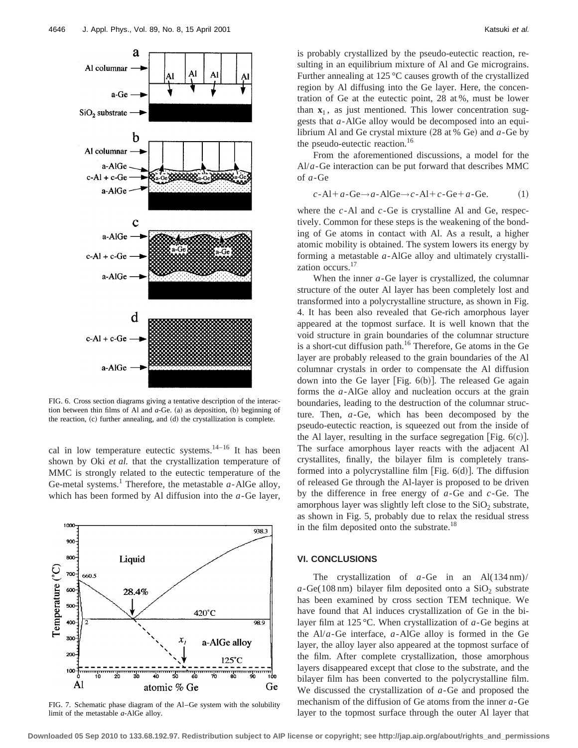

FIG. 6. Cross section diagrams giving a tentative description of the interaction between thin films of Al and  $a$ -Ge.  $(a)$  as deposition,  $(b)$  beginning of the reaction,  $(c)$  further annealing, and  $(d)$  the crystallization is complete.

cal in low temperature eutectic systems.<sup>14–16</sup> It has been shown by Oki *et al.* that the crystallization temperature of MMC is strongly related to the eutectic temperature of the Ge-metal systems.<sup>1</sup> Therefore, the metastable  $a$ -AlGe alloy, which has been formed by Al diffusion into the *a*-Ge layer,



FIG. 7. Schematic phase diagram of the Al–Ge system with the solubility limit of the metastable *a*-AlGe alloy.

is probably crystallized by the pseudo-eutectic reaction, resulting in an equilibrium mixture of Al and Ge micrograins. Further annealing at 125 °C causes growth of the crystallized region by Al diffusing into the Ge layer. Here, the concentration of Ge at the eutectic point, 28 at %, must be lower than  $\mathbf{x}_1$ , as just mentioned. This lower concentration suggests that *a*-AlGe alloy would be decomposed into an equilibrium Al and Ge crystal mixture  $(28$  at % Ge) and  $a$ -Ge by the pseudo-eutectic reaction.<sup>16</sup>

From the aforementioned discussions, a model for the Al/*a*-Ge interaction can be put forward that describes MMC of *a*-Ge

$$
c\text{-}Al + a\text{-}Ge \rightarrow a\text{-}AlGe \rightarrow c\text{-}Al + c\text{-}Ge + a\text{-}Ge.
$$
 (1)

where the *c*-Al and *c*-Ge is crystalline Al and Ge, respectively. Common for these steps is the weakening of the bonding of Ge atoms in contact with Al. As a result, a higher atomic mobility is obtained. The system lowers its energy by forming a metastable *a*-AlGe alloy and ultimately crystallization occurs.<sup>17</sup>

When the inner *a*-Ge layer is crystallized, the columnar structure of the outer Al layer has been completely lost and transformed into a polycrystalline structure, as shown in Fig. 4. It has been also revealed that Ge-rich amorphous layer appeared at the topmost surface. It is well known that the void structure in grain boundaries of the columnar structure is a short-cut diffusion path. $16$  Therefore, Ge atoms in the Ge layer are probably released to the grain boundaries of the Al columnar crystals in order to compensate the Al diffusion down into the Ge layer [Fig.  $6(b)$ ]. The released Ge again forms the *a*-AlGe alloy and nucleation occurs at the grain boundaries, leading to the destruction of the columnar structure. Then, *a*-Ge, which has been decomposed by the pseudo-eutectic reaction, is squeezed out from the inside of the Al layer, resulting in the surface segregation [Fig.  $6(c)$ ]. The surface amorphous layer reacts with the adjacent Al crystallites, finally, the bilayer film is completely transformed into a polycrystalline film [Fig.  $6(d)$ ]. The diffusion of released Ge through the Al-layer is proposed to be driven by the difference in free energy of *a*-Ge and *c*-Ge. The amorphous layer was slightly left close to the  $SiO<sub>2</sub>$  substrate, as shown in Fig. 5, probably due to relax the residual stress in the film deposited onto the substrate.<sup>18</sup>

#### **VI. CONCLUSIONS**

The crystallization of *a*-Ge in an Al(134 nm)/  $a - \text{Ge}(108 \text{ nm})$  bilayer film deposited onto a SiO<sub>2</sub> substrate has been examined by cross section TEM technique. We have found that Al induces crystallization of Ge in the bilayer film at 125 °C. When crystallization of *a*-Ge begins at the Al/*a*-Ge interface, *a*-AlGe alloy is formed in the Ge layer, the alloy layer also appeared at the topmost surface of the film. After complete crystallization, those amorphous layers disappeared except that close to the substrate, and the bilayer film has been converted to the polycrystalline film. We discussed the crystallization of *a*-Ge and proposed the mechanism of the diffusion of Ge atoms from the inner *a*-Ge layer to the topmost surface through the outer Al layer that

**Downloaded 05 Sep 2010 to 133.68.192.97. Redistribution subject to AIP license or copyright; see http://jap.aip.org/about/rights\_and\_permissions**